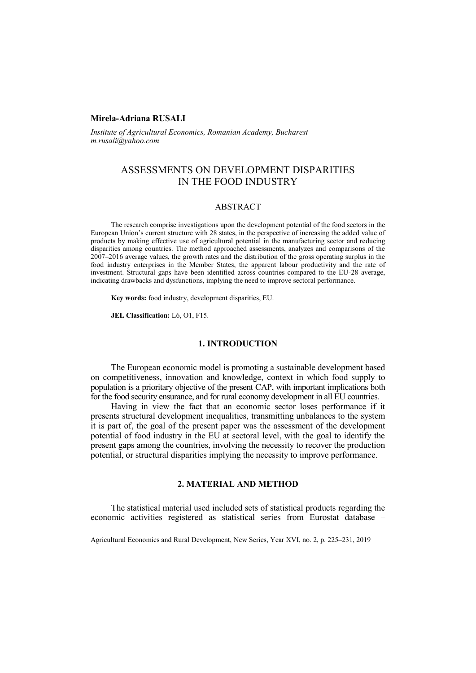## **Mirela-Adriana RUSALI**

*Institute of Agricultural Economics, Romanian Academy, Bucharest [m.rusali@yahoo.](mailto:m.rusali@yahoo)com*

# ASSESSMENTS ON DEVELOPMENT DISPARITIES IN THE FOOD INDUSTRY

### ABSTRACT

The research comprise investigations upon the development potential of the food sectors in the European Union's current structure with 28 states, in the perspective of increasing the added value of products by making effective use of agricultural potential in the manufacturing sector and reducing disparities among countries. The method approached assessments, analyzes and comparisons of the 2007–2016 average values, the growth rates and the distribution of the gross operating surplus in the food industry enterprises in the Member States, the apparent labour productivity and the rate of investment. Structural gaps have been identified across countries compared to the EU-28 average, indicating drawbacks and dysfunctions, implying the need to improve sectoral performance.

**Key words:** food industry, development disparities, EU.

**JEL Classification:** L6, O1, F15.

### **1. INTRODUCTION**

The European economic model is promoting a sustainable development based on competitiveness, innovation and knowledge, context in which food supply to population is a prioritary objective of the present CAP, with important implications both for the food security ensurance, and for rural economy development in all EU countries.

Having in view the fact that an economic sector loses performance if it presents structural development inequalities, transmitting unbalances to the system it is part of, the goal of the present paper was the assessment of the development potential of food industry in the EU at sectoral level, with the goal to identify the present gaps among the countries, involving the necessity to recover the production potential, or structural disparities implying the necessity to improve performance.

### **2. MATERIAL AND METHOD**

The statistical material used included sets of statistical products regarding the economic activities registered as statistical series from Eurostat database –

Agricultural Economics and Rural Development, New Series, Year XVI, no. 2, p. 225–231, 2019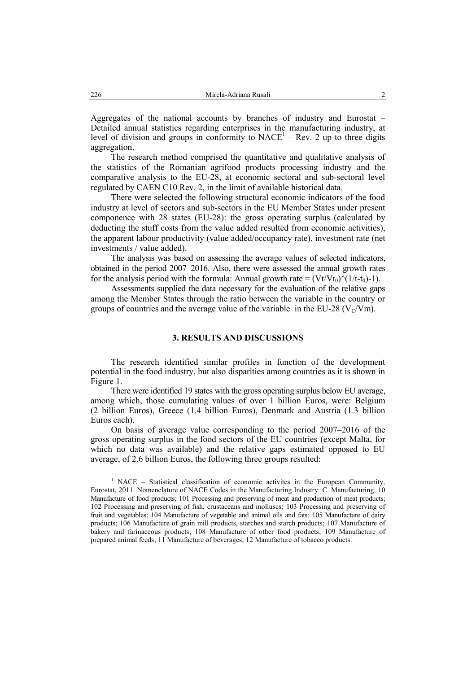Aggregates of the national accounts by branches of industry and Eurostat – Detailed annual statistics regarding enterprises in the manufacturing industry, at level of division and groups in conformity to  $NACE<sup>1</sup> - Rev$ . 2 up to three digits aggregation.

The research method comprised the quantitative and qualitative analysis of the statistics of the Romanian agrifood products processing industry and the comparative analysis to the EU-28, at economic sectoral and sub-sectoral level regulated by CAEN C10 Rev. 2, in the limit of available historical data.

There were selected the following structural economic indicators of the food industry at level of sectors and sub-sectors in the EU Member States under present componence with 28 states (EU-28): the gross operating surplus (calculated by deducting the stuff costs from the value added resulted from economic activities), the apparent labour productivity (value added/occupancy rate), investment rate (net investments / value added).

The analysis was based on assessing the average values of selected indicators, obtained in the period 2007–2016. Also, there were assessed the annual growth rates for the analysis period with the formula: Annual growth rate =  $(Vt/Vt_0)^(1/t-t_0)-1$ .

Assessments supplied the data necessary for the evaluation of the relative gaps among the Member States through the ratio between the variable in the country or groups of countries and the average value of the variable in the EU-28 ( $V_C/Vm$ ).

### **3. RESULTS AND DISCUSSIONS**

The research identified similar profiles in function of the development potential in the food industry, but also disparities among countries as it is shown in Figure 1.

There were identified 19 states with the gross operating surplus below EU average, among which, those cumulating values of over 1 billion Euros, were: Belgium (2 billion Euros), Greece (1.4 billion Euros), Denmark and Austria (1.3 billion Euros each).

On basis of average value corresponding to the period 2007–2016 of the gross operating surplus in the food sectors of the EU countries (except Malta, for which no data was available) and the relative gaps estimated opposed to EU average, of 2.6 billion Euros, the following three groups resulted:

<sup>1</sup> NACE – Statistical classification of economic activites in the European Community, Eurostat, 2011. Nomenclature of NACE Codes in the Manufacturing Industry: C. Manufacturing, 10 Manufacture of food products; 101 Processing and preserving of meat and production of meat products; 102 Processing and preserving of fish, crustaceans and molluscs; 103 Processing and preserving of fruit and vegetables; 104 Manufacture of vegetable and animal oils and fats; 105 Manufacture of dairy products; 106 Manufacture of grain mill products, starches and starch products; 107 Manufacture of bakery and farinaceous products; 108 Manufacture of other food products; 109 Manufacture of prepared animal feeds; 11 Manufacture of beverages; 12 Manufacture of tobacco products.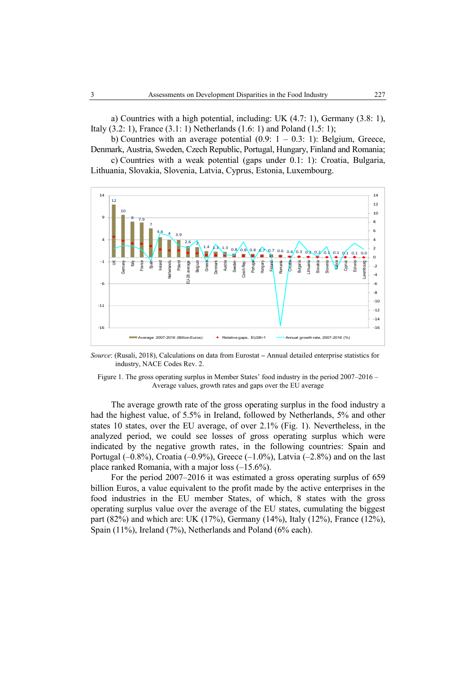a) Countries with a high potential, including: UK (4.7: 1), Germany (3.8: 1), Italy (3.2: 1), France (3.1: 1) Netherlands (1.6: 1) and Poland (1.5: 1);

b) Countries with an average potential  $(0.9: 1 - 0.3: 1)$ : Belgium, Greece, Denmark, Austria, Sweden, Czech Republic, Portugal, Hungary, Finland and Romania;

c) Countries with a weak potential (gaps under 0.1: 1): Croatia, Bulgaria, Lithuania, Slovakia, Slovenia, Latvia, Cyprus, Estonia, Luxembourg.



*Source*: (Rusali, 2018), Calculations on data from Eurostat **–** Annual detailed enterprise statistics for industry, NACE Codes Rev. 2.

Figure 1. The gross operating surplus in Member States' food industry in the period 2007–2016 – Average values, growth rates and gaps over the EU average

The average growth rate of the gross operating surplus in the food industry a had the highest value, of 5.5% in Ireland, followed by Netherlands, 5% and other states 10 states, over the EU average, of over 2.1% (Fig. 1). Nevertheless, in the analyzed period, we could see losses of gross operating surplus which were indicated by the negative growth rates, in the following countries: Spain and Portugal  $(-0.8%)$ , Croatia  $(-0.9%)$ , Greece  $(-1.0%)$ , Latvia  $(-2.8%)$  and on the last place ranked Romania, with a major loss (–15.6%).

For the period 2007–2016 it was estimated a gross operating surplus of 659 billion Euros, a value equivalent to the profit made by the active enterprises in the food industries in the EU member States, of which, 8 states with the gross operating surplus value over the average of the EU states, cumulating the biggest part (82%) and which are: UK (17%), Germany (14%), Italy (12%), France (12%), Spain (11%), Ireland (7%), Netherlands and Poland (6% each).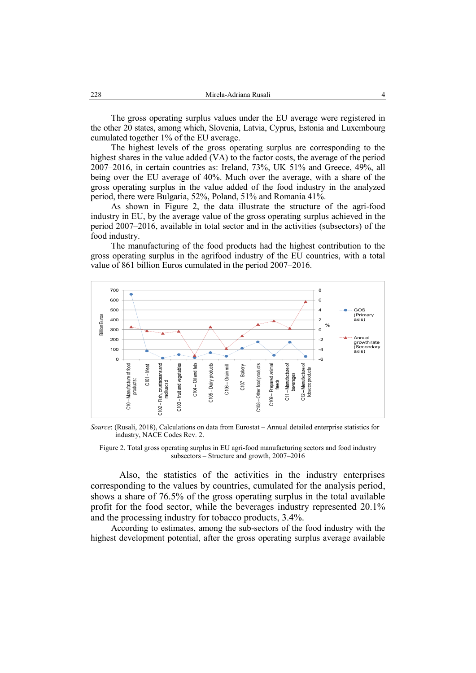The gross operating surplus values under the EU average were registered in the other 20 states, among which, Slovenia, Latvia, Cyprus, Estonia and Luxembourg cumulated together 1% of the EU average.

The highest levels of the gross operating surplus are corresponding to the highest shares in the value added (VA) to the factor costs, the average of the period 2007–2016, in certain countries as: Ireland, 73%, UK 51% and Greece, 49%, all being over the EU average of 40%. Much over the average, with a share of the gross operating surplus in the value added of the food industry in the analyzed period, there were Bulgaria, 52%, Poland, 51% and Romania 41%.

As shown in Figure 2, the data illustrate the structure of the agri-food industry in EU, by the average value of the gross operating surplus achieved in the period 2007–2016, available in total sector and in the activities (subsectors) of the food industry.

The manufacturing of the food products had the highest contribution to the gross operating surplus in the agrifood industry of the EU countries, with a total value of 861 billion Euros cumulated in the period 2007–2016.



*Source*: (Rusali, 2018), Calculations on data from Eurostat **–** Annual detailed enterprise statistics for industry, NACE Codes Rev. 2.

Figure 2. Total gross operating surplus in EU agri-food manufacturing sectors and food industry subsectors – Structure and growth, 2007–2016

Also, the statistics of the activities in the industry enterprises corresponding to the values by countries, cumulated for the analysis period, shows a share of 76.5% of the gross operating surplus in the total available profit for the food sector, while the beverages industry represented 20.1% and the processing industry for tobacco products, 3.4%.

According to estimates, among the sub-sectors of the food industry with the highest development potential, after the gross operating surplus average available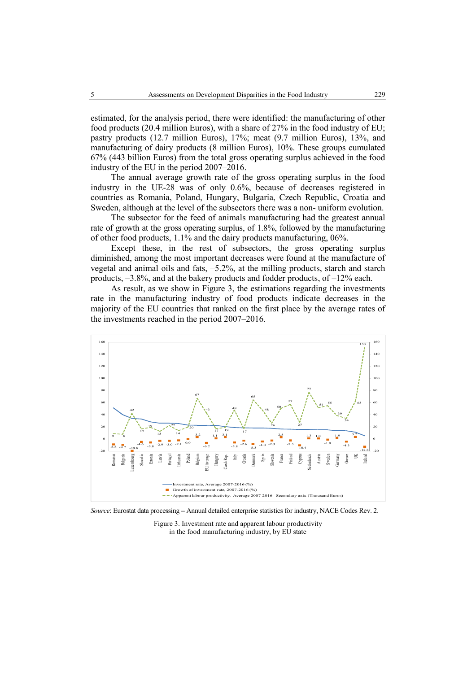estimated, for the analysis period, there were identified: the manufacturing of other food products (20.4 million Euros), with a share of 27% in the food industry of EU; pastry products (12.7 million Euros), 17%; meat (9.7 million Euros), 13%, and manufacturing of dairy products (8 million Euros), 10%. These groups cumulated 67% (443 billion Euros) from the total gross operating surplus achieved in the food industry of the EU in the period 2007–2016.

The annual average growth rate of the gross operating surplus in the food industry in the UE-28 was of only 0.6%, because of decreases registered in countries as Romania, Poland, Hungary, Bulgaria, Czech Republic, Croatia and Sweden, although at the level of the subsectors there was a non- uniform evolution.

The subsector for the feed of animals manufacturing had the greatest annual rate of growth at the gross operating surplus, of 1.8%, followed by the manufacturing of other food products, 1.1% and the dairy products manufacturing, 06%.

Except these, in the rest of subsectors, the gross operating surplus diminished, among the most important decreases were found at the manufacture of vegetal and animal oils and fats, –5.2%, at the milling products, starch and starch products, –3.8%, and at the bakery products and fodder products, of –12% each.

As result, as we show in Figure 3, the estimations regarding the investments rate in the manufacturing industry of food products indicate decreases in the majority of the EU countries that ranked on the first place by the average rates of the investments reached in the period 2007–2016.



*Source*: Eurostat data processing **–** Annual detailed enterprise statistics for industry, NACE Codes Rev. 2.

Figure 3. Investment rate and apparent labour productivity in the food manufacturing industry, by EU state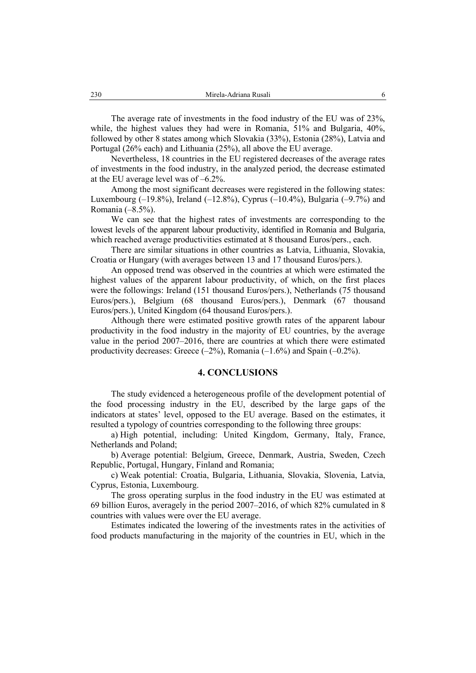The average rate of investments in the food industry of the EU was of 23%, while, the highest values they had were in Romania, 51% and Bulgaria, 40%, followed by other 8 states among which Slovakia (33%), Estonia (28%), Latvia and Portugal (26% each) and Lithuania (25%), all above the EU average.

Nevertheless, 18 countries in the EU registered decreases of the average rates of investments in the food industry, in the analyzed period, the decrease estimated at the EU average level was of –6.2%.

Among the most significant decreases were registered in the following states: Luxembourg  $(-19.8\%)$ , Ireland  $(-12.8\%)$ , Cyprus  $(-10.4\%)$ , Bulgaria  $(-9.7\%)$  and Romania (–8.5%).

We can see that the highest rates of investments are corresponding to the lowest levels of the apparent labour productivity, identified in Romania and Bulgaria, which reached average productivities estimated at 8 thousand Euros/pers., each.

There are similar situations in other countries as Latvia, Lithuania, Slovakia, Croatia or Hungary (with averages between 13 and 17 thousand Euros/pers.).

An opposed trend was observed in the countries at which were estimated the highest values of the apparent labour productivity, of which, on the first places were the followings: Ireland (151 thousand Euros/pers.), Netherlands (75 thousand Euros/pers.), Belgium (68 thousand Euros/pers.), Denmark (67 thousand Euros/pers.), United Kingdom (64 thousand Euros/pers.).

Although there were estimated positive growth rates of the apparent labour productivity in the food industry in the majority of EU countries, by the average value in the period 2007–2016, there are countries at which there were estimated productivity decreases: Greece  $(-2\%)$ , Romania  $(-1.6\%)$  and Spain  $(-0.2\%)$ .

### **4. CONCLUSIONS**

The study evidenced a heterogeneous profile of the development potential of the food processing industry in the EU, described by the large gaps of the indicators at states' level, opposed to the EU average. Based on the estimates, it resulted a typology of countries corresponding to the following three groups:

a) High potential, including: United Kingdom, Germany, Italy, France, Netherlands and Poland;

b) Average potential: Belgium, Greece, Denmark, Austria, Sweden, Czech Republic, Portugal, Hungary, Finland and Romania;

c) Weak potential: Croatia, Bulgaria, Lithuania, Slovakia, Slovenia, Latvia, Cyprus, Estonia, Luxembourg.

The gross operating surplus in the food industry in the EU was estimated at 69 billion Euros, averagely in the period 2007–2016, of which 82% cumulated in 8 countries with values were over the EU average.

Estimates indicated the lowering of the investments rates in the activities of food products manufacturing in the majority of the countries in EU, which in the